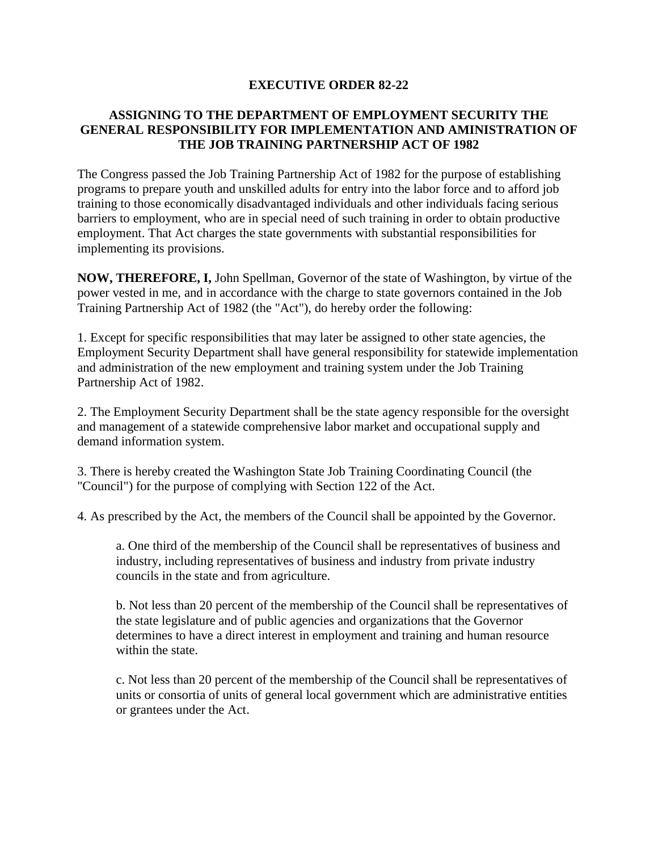## **EXECUTIVE ORDER 82-22**

## **ASSIGNING TO THE DEPARTMENT OF EMPLOYMENT SECURITY THE GENERAL RESPONSIBILITY FOR IMPLEMENTATION AND AMINISTRATION OF THE JOB TRAINING PARTNERSHIP ACT OF 1982**

The Congress passed the Job Training Partnership Act of 1982 for the purpose of establishing programs to prepare youth and unskilled adults for entry into the labor force and to afford job training to those economically disadvantaged individuals and other individuals facing serious barriers to employment, who are in special need of such training in order to obtain productive employment. That Act charges the state governments with substantial responsibilities for implementing its provisions.

**NOW, THEREFORE, I,** John Spellman, Governor of the state of Washington, by virtue of the power vested in me, and in accordance with the charge to state governors contained in the Job Training Partnership Act of 1982 (the "Act"), do hereby order the following:

1. Except for specific responsibilities that may later be assigned to other state agencies, the Employment Security Department shall have general responsibility for statewide implementation and administration of the new employment and training system under the Job Training Partnership Act of 1982.

2. The Employment Security Department shall be the state agency responsible for the oversight and management of a statewide comprehensive labor market and occupational supply and demand information system.

3. There is hereby created the Washington State Job Training Coordinating Council (the "Council") for the purpose of complying with Section 122 of the Act.

4. As prescribed by the Act, the members of the Council shall be appointed by the Governor.

a. One third of the membership of the Council shall be representatives of business and industry, including representatives of business and industry from private industry councils in the state and from agriculture.

b. Not less than 20 percent of the membership of the Council shall be representatives of the state legislature and of public agencies and organizations that the Governor determines to have a direct interest in employment and training and human resource within the state.

c. Not less than 20 percent of the membership of the Council shall be representatives of units or consortia of units of general local government which are administrative entities or grantees under the Act.